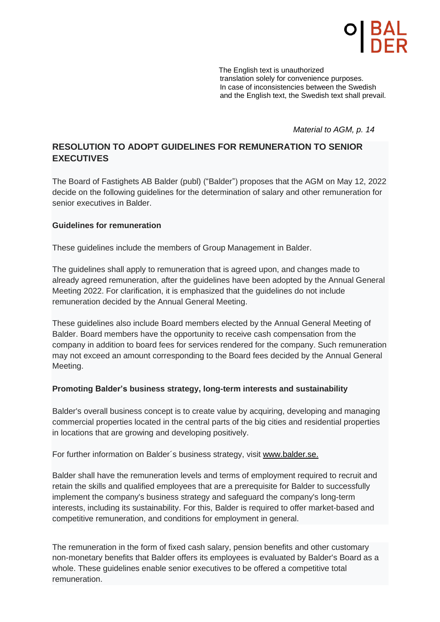The English text is unauthorized translation solely for convenience purposes. In case of inconsistencies between the Swedish and the English text, the Swedish text shall prevail.

*Material to AGM, p. 14*

# **RESOLUTION TO ADOPT GUIDELINES FOR REMUNERATION TO SENIOR EXECUTIVES**

The Board of Fastighets AB Balder (publ) ("Balder") proposes that the AGM on May 12, 2022 decide on the following guidelines for the determination of salary and other remuneration for senior executives in Balder.

## **Guidelines for remuneration**

These guidelines include the members of Group Management in Balder.

The guidelines shall apply to remuneration that is agreed upon, and changes made to already agreed remuneration, after the guidelines have been adopted by the Annual General Meeting 2022. For clarification, it is emphasized that the guidelines do not include remuneration decided by the Annual General Meeting.

These guidelines also include Board members elected by the Annual General Meeting of Balder. Board members have the opportunity to receive cash compensation from the company in addition to board fees for services rendered for the company. Such remuneration may not exceed an amount corresponding to the Board fees decided by the Annual General Meeting.

## **Promoting Balder's business strategy, long-term interests and sustainability**

Balder's overall business concept is to create value by acquiring, developing and managing commercial properties located in the central parts of the big cities and residential properties in locations that are growing and developing positively.

For further information on Balder´s business strategy, visit www.balder.se.

Balder shall have the remuneration levels and terms of employment required to recruit and retain the skills and qualified employees that are a prerequisite for Balder to successfully implement the company's business strategy and safeguard the company's long-term interests, including its sustainability. For this, Balder is required to offer market-based and competitive remuneration, and conditions for employment in general.

The remuneration in the form of fixed cash salary, pension benefits and other customary non-monetary benefits that Balder offers its employees is evaluated by Balder's Board as a whole. These guidelines enable senior executives to be offered a competitive total remuneration.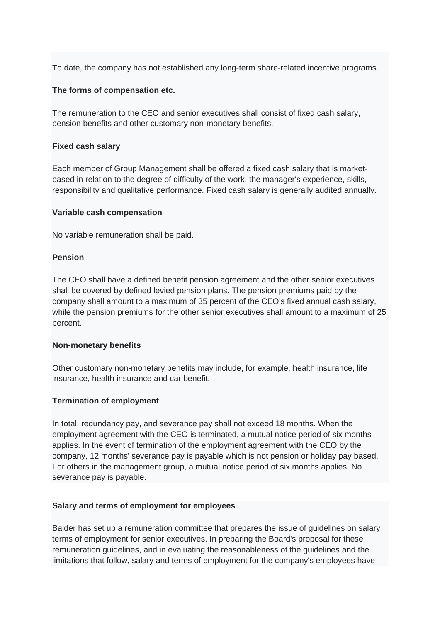To date, the company has not established any long-term share-related incentive programs.

#### **The forms of compensation etc.**

The remuneration to the CEO and senior executives shall consist of fixed cash salary, pension benefits and other customary non-monetary benefits.

#### **Fixed cash salary**

Each member of Group Management shall be offered a fixed cash salary that is marketbased in relation to the degree of difficulty of the work, the manager's experience, skills, responsibility and qualitative performance. Fixed cash salary is generally audited annually.

#### **Variable cash compensation**

No variable remuneration shall be paid.

#### **Pension**

The CEO shall have a defined benefit pension agreement and the other senior executives shall be covered by defined levied pension plans. The pension premiums paid by the company shall amount to a maximum of 35 percent of the CEO's fixed annual cash salary, while the pension premiums for the other senior executives shall amount to a maximum of 25 percent.

#### **Non-monetary benefits**

Other customary non-monetary benefits may include, for example, health insurance, life insurance, health insurance and car benefit.

#### **Termination of employment**

In total, redundancy pay, and severance pay shall not exceed 18 months. When the employment agreement with the CEO is terminated, a mutual notice period of six months applies. In the event of termination of the employment agreement with the CEO by the company, 12 months' severance pay is payable which is not pension or holiday pay based. For others in the management group, a mutual notice period of six months applies. No severance pay is payable.

#### **Salary and terms of employment for employees**

Balder has set up a remuneration committee that prepares the issue of guidelines on salary terms of employment for senior executives. In preparing the Board's proposal for these remuneration guidelines, and in evaluating the reasonableness of the guidelines and the limitations that follow, salary and terms of employment for the company's employees have